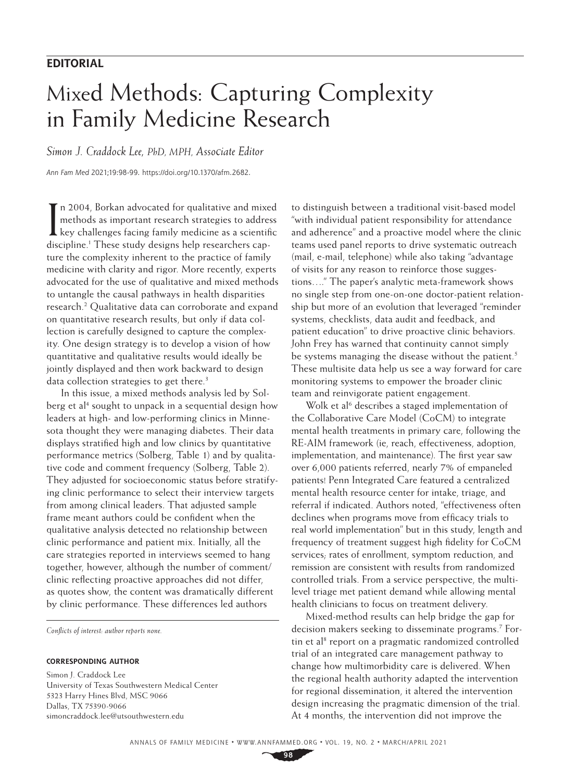### **EDITORIAL**

# Mixed Methods: Capturing Complexity in Family Medicine Research

*Simon J. Craddock Lee, PhD, MPH, Associate Editor*

*Ann Fam Med* 2021;19:98-99. [https://doi.org/10.1370/afm.2682](https://doi.org/10.1370/afm.268).

In 2004, Borkan advocated for qualitative and mixed<br>methods as important research strategies to address<br>key challenges facing family medicine as a scientific<br>distinction of Theoretical designs help measure has not n 2004, Borkan advocated for qualitative and mixed methods as important research strategies to address discipline.<sup>1</sup> These study designs help researchers capture the complexity inherent to the practice of family medicine with clarity and rigor. More recently, experts advocated for the use of qualitative and mixed methods to untangle the causal pathways in health disparities research.2 Qualitative data can corroborate and expand on quantitative research results, but only if data collection is carefully designed to capture the complexity. One design strategy is to develop a vision of how quantitative and qualitative results would ideally be jointly displayed and then work backward to design data collection strategies to get there.<sup>3</sup>

In this issue, a mixed methods analysis led by [Sol](https://www.annfammed.org/content/19/2/110/)[berg et al](https://www.annfammed.org/content/19/2/110/)<sup>4</sup> sought to unpack in a sequential design how leaders at high- and low-performing clinics in Minnesota thought they were managing diabetes. Their data displays stratified high and low clinics by quantitative performance metrics [\(Solberg,](https://www.annfammed.org/content/19/2/110/) Table 1) and by qualitative code and comment frequency ([Solberg,](https://www.annfammed.org/content/19/2/110/) Table 2). They adjusted for socioeconomic status before stratifying clinic performance to select their interview targets from among clinical leaders. That adjusted sample frame meant authors could be confident when the qualitative analysis detected no relationship between clinic performance and patient mix. Initially, all the care strategies reported in interviews seemed to hang together, however, although the number of comment/ clinic reflecting proactive approaches did not differ, as quotes show, the content was dramatically different by clinic performance. These differences led authors

*Conflicts of interest: author reports none.*

#### **CORRESPONDING AUTHOR**

Simon J. Craddock Lee University of Texas Southwestern Medical Center 5323 Harry Hines Blvd, MSC 9066 Dallas, TX 75390-9066 [simoncraddock.lee@utsouthwestern.edu](mailto:simoncraddock.lee@utsouthwestern.edu)

to distinguish between a traditional visit-based model "with individual patient responsibility for attendance and adherence" and a proactive model where the clinic teams used panel reports to drive systematic outreach (mail, e-mail, telephone) while also taking "advantage of visits for any reason to reinforce those suggestions…." The paper's analytic meta-framework shows no single step from one-on-one doctor-patient relationship but more of an evolution that leveraged "reminder systems, checklists, data audit and feedback, and patient education" to drive proactive clinic behaviors. John Frey has warned that continuity cannot simply be systems managing the disease without the patient.<sup>5</sup> These multisite data help us see a way forward for care monitoring systems to empower the broader clinic team and reinvigorate patient engagement.

[Wolk et al](https://www.annfammed.org/content/19/2/148/)<sup>6</sup> describes a staged implementation of the Collaborative Care Model (CoCM) to integrate mental health treatments in primary care, following the RE-AIM framework (ie, reach, effectiveness, adoption, implementation, and maintenance). The first year saw over 6,000 patients referred, nearly 7% of empaneled patients! Penn Integrated Care featured a centralized mental health resource center for intake, triage, and referral if indicated. Authors noted, "effectiveness often declines when programs move from efficacy trials to real world implementation" but in this study, length and frequency of treatment suggest high fidelity for CoCM services; rates of enrollment, symptom reduction, and remission are consistent with results from randomized controlled trials. From a service perspective, the multilevel triage met patient demand while allowing mental health clinicians to focus on treatment delivery.

Mixed-method results can help bridge the gap for decision makers seeking to disseminate programs.<sup>7</sup> [For](https://www.annfammed.org/content/19/2/126)[tin et al](https://www.annfammed.org/content/19/2/126)<sup>8</sup> report on a pragmatic randomized controlled trial of an integrated care management pathway to change how multimorbidity care is delivered. When the regional health authority adapted the intervention for regional dissemination, it altered the intervention design increasing the pragmatic dimension of the trial. At 4 months, the intervention did not improve the